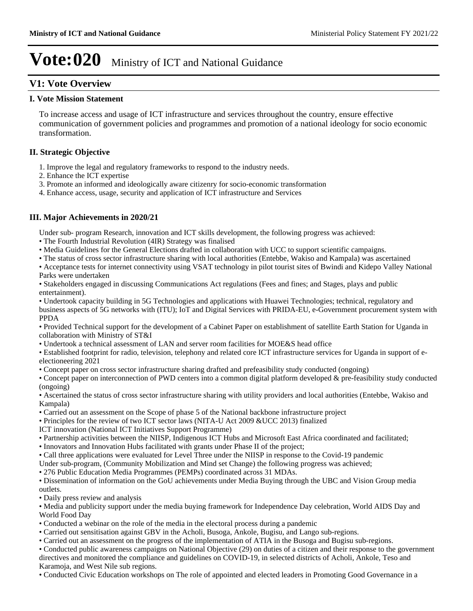### **V1: Vote Overview**

### **I. Vote Mission Statement**

To increase access and usage of ICT infrastructure and services throughout the country, ensure effective communication of government policies and programmes and promotion of a national ideology for socio economic transformation.

### **II. Strategic Objective**

- 1. Improve the legal and regulatory frameworks to respond to the industry needs.
- 2. Enhance the ICT expertise
- 3. Promote an informed and ideologically aware citizenry for socio-economic transformation
- 4. Enhance access, usage, security and application of ICT infrastructure and Services

### **III. Major Achievements in 2020/21**

Under sub- program Research, innovation and ICT skills development, the following progress was achieved:

- The Fourth Industrial Revolution (4IR) Strategy was finalised
- Media Guidelines for the General Elections drafted in collaboration with UCC to support scientific campaigns.
- The status of cross sector infrastructure sharing with local authorities (Entebbe, Wakiso and Kampala) was ascertained
- Acceptance tests for internet connectivity using VSAT technology in pilot tourist sites of Bwindi and Kidepo Valley National Parks were undertaken

Stakeholders engaged in discussing Communications Act regulations (Fees and fines; and Stages, plays and public entertainment).

Undertook capacity building in 5G Technologies and applications with Huawei Technologies; technical, regulatory and business aspects of 5G networks with (ITU); IoT and Digital Services with PRIDA-EU, e-Government procurement system with PPDA

Provided Technical support for the development of a Cabinet Paper on establishment of satellite Earth Station for Uganda in collaboration with Ministry of ST&I

Undertook a technical assessment of LAN and server room facilities for MOE&S head office

Established footprint for radio, television, telephony and related core ICT infrastructure services for Uganda in support of eelectioneering 2021

Concept paper on cross sector infrastructure sharing drafted and prefeasibility study conducted (ongoing)

Concept paper on interconnection of PWD centers into a common digital platform developed & pre-feasibility study conducted (ongoing)

Ascertained the status of cross sector infrastructure sharing with utility providers and local authorities (Entebbe, Wakiso and Kampala)

- Carried out an assessment on the Scope of phase 5 of the National backbone infrastructure project
- Principles for the review of two ICT sector laws (NITA-U Act 2009 &UCC 2013) finalized
- ICT innovation (National ICT Initiatives Support Programme)
- Partnership activities between the NIISP, Indigenous ICT Hubs and Microsoft East Africa coordinated and facilitated;
- Innovators and Innovation Hubs facilitated with grants under Phase II of the project;
- Call three applications were evaluated for Level Three under the NIISP in response to the Covid-19 pandemic
- Under sub-program, (Community Mobilization and Mind set Change) the following progress was achieved;
- 276 Public Education Media Programmes (PEMPs) coordinated across 31 MDAs.

Dissemination of information on the GoU achievements under Media Buying through the UBC and Vision Group media outlets.

Daily press review and analysis

Media and publicity support under the media buying framework for Independence Day celebration, World AIDS Day and World Food Day

- Conducted a webinar on the role of the media in the electoral process during a pandemic
- Carried out sensitisation against GBV in the Acholi, Busoga, Ankole, Bugisu, and Lango sub-regions.
- Carried out an assessment on the progress of the implementation of ATIA in the Busoga and Bugisu sub-regions.

Conducted public awareness campaigns on National Objective (29) on duties of a citizen and their response to the government directives and monitored the compliance and guidelines on COVID-19, in selected districts of Acholi, Ankole, Teso and Karamoja, and West Nile sub regions.

Conducted Civic Education workshops on The role of appointed and elected leaders in Promoting Good Governance in a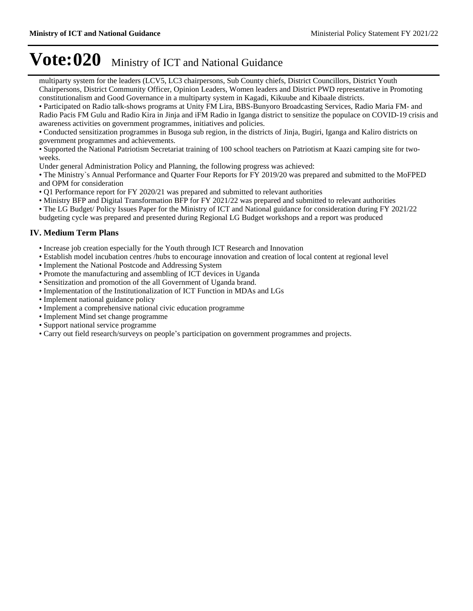multiparty system for the leaders (LCV5, LC3 chairpersons, Sub County chiefs, District Councillors, District Youth Chairpersons, District Community Officer, Opinion Leaders, Women leaders and District PWD representative in Promoting constitutionalism and Good Governance in a multiparty system in Kagadi, Kikuube and Kibaale districts.

Participated on Radio talk-shows programs at Unity FM Lira, BBS-Bunyoro Broadcasting Services, Radio Maria FM- and Radio Pacis FM Gulu and Radio Kira in Jinja and iFM Radio in Iganga district to sensitize the populace on COVID-19 crisis and awareness activities on government programmes, initiatives and policies.

Conducted sensitization programmes in Busoga sub region, in the districts of Jinja, Bugiri, Iganga and Kaliro districts on government programmes and achievements.

Supported the National Patriotism Secretariat training of 100 school teachers on Patriotism at Kaazi camping site for twoweeks.

Under general Administration Policy and Planning, the following progress was achieved:

The Ministry`s Annual Performance and Quarter Four Reports for FY 2019/20 was prepared and submitted to the MoFPED and OPM for consideration

- Q1 Performance report for FY 2020/21 was prepared and submitted to relevant authorities
- Ministry BFP and Digital Transformation BFP for FY 2021/22 was prepared and submitted to relevant authorities
- The LG Budget/ Policy Issues Paper for the Ministry of ICT and National guidance for consideration during FY 2021/22

budgeting cycle was prepared and presented during Regional LG Budget workshops and a report was produced

### **IV. Medium Term Plans**

- Increase job creation especially for the Youth through ICT Research and Innovation
- Establish model incubation centres /hubs to encourage innovation and creation of local content at regional level
- Implement the National Postcode and Addressing System
- Promote the manufacturing and assembling of ICT devices in Uganda
- Sensitization and promotion of the all Government of Uganda brand.
- Implementation of the Institutionalization of ICT Function in MDAs and LGs
- Implement national guidance policy
- Implement a comprehensive national civic education programme
- Implement Mind set change programme
- Support national service programme
- Carry out field research/surveys on people's participation on government programmes and projects.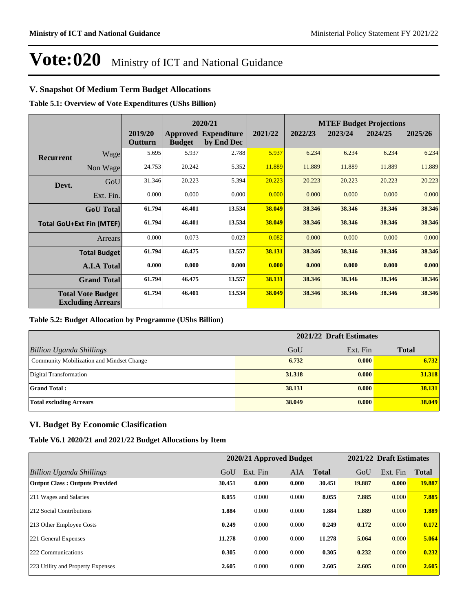### **V. Snapshot Of Medium Term Budget Allocations**

**Table 5.1: Overview of Vote Expenditures (UShs Billion)**

|                  |                                                      |                    | 2020/21       |                                           |         | <b>MTEF Budget Projections</b> |         |         |         |
|------------------|------------------------------------------------------|--------------------|---------------|-------------------------------------------|---------|--------------------------------|---------|---------|---------|
|                  |                                                      | 2019/20<br>Outturn | <b>Budget</b> | <b>Approved Expenditure</b><br>by End Dec | 2021/22 | 2022/23                        | 2023/24 | 2024/25 | 2025/26 |
| <b>Recurrent</b> | Wage                                                 | 5.695              | 5.937         | 2.788                                     | 5.937   | 6.234                          | 6.234   | 6.234   | 6.234   |
|                  | Non Wage                                             | 24.753             | 20.242        | 5.352                                     | 11.889  | 11.889                         | 11.889  | 11.889  | 11.889  |
| Devt.            | GoU                                                  | 31.346             | 20.223        | 5.394                                     | 20.223  | 20.223                         | 20.223  | 20.223  | 20.223  |
|                  | Ext. Fin.                                            | 0.000              | 0.000         | 0.000                                     | 0.000   | 0.000                          | 0.000   | 0.000   | 0.000   |
|                  | <b>GoU</b> Total                                     | 61.794             | 46.401        | 13.534                                    | 38.049  | 38.346                         | 38.346  | 38.346  | 38.346  |
|                  | <b>Total GoU+Ext Fin (MTEF)</b>                      | 61.794             | 46.401        | 13.534                                    | 38.049  | 38.346                         | 38.346  | 38.346  | 38.346  |
|                  | <b>Arrears</b>                                       | 0.000              | 0.073         | 0.023                                     | 0.082   | 0.000                          | 0.000   | 0.000   | 0.000   |
|                  | <b>Total Budget</b>                                  | 61.794             | 46.475        | 13.557                                    | 38.131  | 38.346                         | 38.346  | 38.346  | 38.346  |
|                  | <b>A.I.A Total</b>                                   | 0.000              | 0.000         | 0.000                                     | 0.000   | 0.000                          | 0.000   | 0.000   | 0.000   |
|                  | <b>Grand Total</b>                                   | 61.794             | 46.475        | 13.557                                    | 38.131  | 38.346                         | 38.346  | 38.346  | 38.346  |
|                  | <b>Total Vote Budget</b><br><b>Excluding Arrears</b> | 61.794             | 46.401        | 13.534                                    | 38.049  | 38.346                         | 38.346  | 38.346  | 38.346  |

#### **Table 5.2: Budget Allocation by Programme (UShs Billion)**

| 2021/22 Draft Estimates                   |        |          |              |
|-------------------------------------------|--------|----------|--------------|
| <b>Billion Uganda Shillings</b>           | GoU    | Ext. Fin | <b>Total</b> |
| Community Mobilization and Mindset Change | 6.732  | 0.000    | 6.732        |
| Digital Transformation                    | 31.318 | 0.000    | 31.318       |
| <b>Grand Total:</b>                       | 38.131 | 0.000    | 38.131       |
| <b>Total excluding Arrears</b>            | 38.049 | 0.000    | 38.049       |

### **VI. Budget By Economic Clasification**

#### **Table V6.1 2020/21 and 2021/22 Budget Allocations by Item**

|                                       |        | 2020/21 Approved Budget |       |              |        | 2021/22 Draft Estimates |              |
|---------------------------------------|--------|-------------------------|-------|--------------|--------|-------------------------|--------------|
| Billion Uganda Shillings              | GoU    | Ext. Fin                | AIA   | <b>Total</b> | GoU    | Ext. Fin                | <b>Total</b> |
| <b>Output Class: Outputs Provided</b> | 30.451 | 0.000                   | 0.000 | 30.451       | 19.887 | 0.000                   | 19.887       |
| 211 Wages and Salaries                | 8.055  | 0.000                   | 0.000 | 8.055        | 7.885  | 0.000                   | 7.885        |
| 212 Social Contributions              | 1.884  | 0.000                   | 0.000 | 1.884        | 1.889  | 0.000                   | 1.889        |
| 213 Other Employee Costs              | 0.249  | 0.000                   | 0.000 | 0.249        | 0.172  | 0.000                   | 0.172        |
| 221 General Expenses                  | 11.278 | 0.000                   | 0.000 | 11.278       | 5.064  | 0.000                   | 5.064        |
| 222 Communications                    | 0.305  | 0.000                   | 0.000 | 0.305        | 0.232  | 0.000                   | 0.232        |
| 223 Utility and Property Expenses     | 2.605  | 0.000                   | 0.000 | 2.605        | 2.605  | 0.000                   | 2.605        |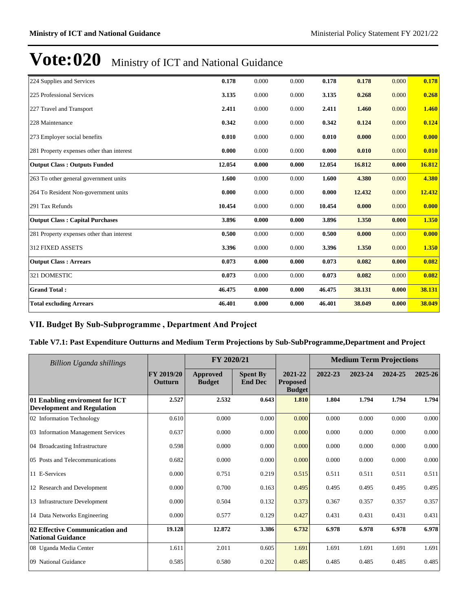| 224 Supplies and Services                 | 0.178  | 0.000 | 0.000 | 0.178  | 0.178  | 0.000 | 0.178  |
|-------------------------------------------|--------|-------|-------|--------|--------|-------|--------|
| 225 Professional Services                 | 3.135  | 0.000 | 0.000 | 3.135  | 0.268  | 0.000 | 0.268  |
| 227 Travel and Transport                  | 2.411  | 0.000 | 0.000 | 2.411  | 1.460  | 0.000 | 1.460  |
| 228 Maintenance                           | 0.342  | 0.000 | 0.000 | 0.342  | 0.124  | 0.000 | 0.124  |
| 273 Employer social benefits              | 0.010  | 0.000 | 0.000 | 0.010  | 0.000  | 0.000 | 0.000  |
| 281 Property expenses other than interest | 0.000  | 0.000 | 0.000 | 0.000  | 0.010  | 0.000 | 0.010  |
| <b>Output Class: Outputs Funded</b>       | 12.054 | 0.000 | 0.000 | 12.054 | 16.812 | 0.000 | 16.812 |
| 263 To other general government units     | 1.600  | 0.000 | 0.000 | 1.600  | 4.380  | 0.000 | 4.380  |
| 264 To Resident Non-government units      | 0.000  | 0.000 | 0.000 | 0.000  | 12.432 | 0.000 | 12.432 |
| 291 Tax Refunds                           | 10.454 | 0.000 | 0.000 | 10.454 | 0.000  | 0.000 | 0.000  |
| <b>Output Class: Capital Purchases</b>    | 3.896  | 0.000 | 0.000 | 3.896  | 1.350  | 0.000 | 1.350  |
| 281 Property expenses other than interest | 0.500  | 0.000 | 0.000 | 0.500  | 0.000  | 0.000 | 0.000  |
| <b>312 FIXED ASSETS</b>                   | 3.396  | 0.000 | 0.000 | 3.396  | 1.350  | 0.000 | 1.350  |
| <b>Output Class: Arrears</b>              | 0.073  | 0.000 | 0.000 | 0.073  | 0.082  | 0.000 | 0.082  |
| 321 DOMESTIC                              | 0.073  | 0.000 | 0.000 | 0.073  | 0.082  | 0.000 | 0.082  |
| <b>Grand Total:</b>                       | 46.475 | 0.000 | 0.000 | 46.475 | 38.131 | 0.000 | 38.131 |
| <b>Total excluding Arrears</b>            | 46.401 | 0.000 | 0.000 | 46.401 | 38.049 | 0.000 | 38.049 |

### VII. Budget By Sub-Subprogramme, Department And Project

#### **Table V7.1: Past Expenditure Outturns and Medium Term Projections by Sub-SubProgramme,Department and Project**

| FY 2020/21<br><b>Billion Uganda shillings</b>                       |                       |                                  | <b>Medium Term Projections</b>    |                                             |         |         |         |         |
|---------------------------------------------------------------------|-----------------------|----------------------------------|-----------------------------------|---------------------------------------------|---------|---------|---------|---------|
|                                                                     | FY 2019/20<br>Outturn | <b>Approved</b><br><b>Budget</b> | <b>Spent By</b><br><b>End Dec</b> | 2021-22<br><b>Proposed</b><br><b>Budget</b> | 2022-23 | 2023-24 | 2024-25 | 2025-26 |
| 01 Enabling enviroment for ICT<br><b>Development and Regulation</b> | 2.527                 | 2.532                            | 0.643                             | 1.810                                       | 1.804   | 1.794   | 1.794   | 1.794   |
| 02 Information Technology                                           | 0.610                 | 0.000                            | 0.000                             | 0.000                                       | 0.000   | 0.000   | 0.000   | 0.000   |
| 03 Information Management Services                                  | 0.637                 | 0.000                            | 0.000                             | 0.000                                       | 0.000   | 0.000   | 0.000   | 0.000   |
| 04 Broadcasting Infrastructure                                      | 0.598                 | 0.000                            | 0.000                             | 0.000                                       | 0.000   | 0.000   | 0.000   | 0.000   |
| 05 Posts and Telecommunications                                     | 0.682                 | 0.000                            | 0.000                             | 0.000                                       | 0.000   | 0.000   | 0.000   | 0.000   |
| 11 E-Services                                                       | 0.000                 | 0.751                            | 0.219                             | 0.515                                       | 0.511   | 0.511   | 0.511   | 0.511   |
| 12 Research and Development                                         | 0.000                 | 0.700                            | 0.163                             | 0.495                                       | 0.495   | 0.495   | 0.495   | 0.495   |
| 13 Infrastructure Development                                       | 0.000                 | 0.504                            | 0.132                             | 0.373                                       | 0.367   | 0.357   | 0.357   | 0.357   |
| 14 Data Networks Engineering                                        | 0.000                 | 0.577                            | 0.129                             | 0.427                                       | 0.431   | 0.431   | 0.431   | 0.431   |
| 02 Effective Communication and<br><b>National Guidance</b>          | 19.128                | 12.872                           | 3.386                             | 6.732                                       | 6.978   | 6.978   | 6.978   | 6.978   |
| 08 Uganda Media Center                                              | 1.611                 | 2.011                            | 0.605                             | 1.691                                       | 1.691   | 1.691   | 1.691   | 1.691   |
| 09 National Guidance                                                | 0.585                 | 0.580                            | 0.202                             | 0.485                                       | 0.485   | 0.485   | 0.485   | 0.485   |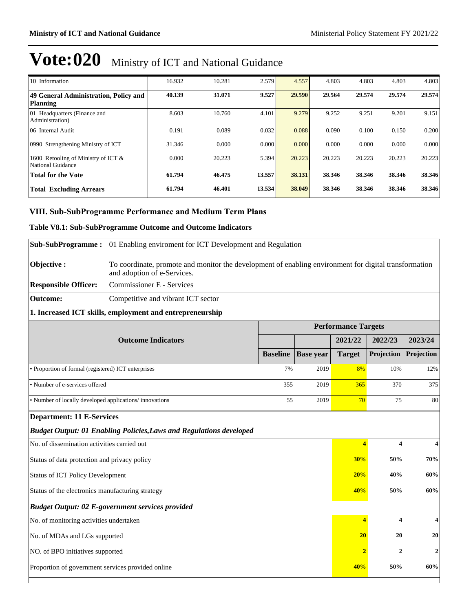| 10 Information                                           | 16.932 | 10.281 | 2.579  | 4.557  | 4.803  | 4.803  | 4.803  | 4.803  |
|----------------------------------------------------------|--------|--------|--------|--------|--------|--------|--------|--------|
| 49 General Administration, Policy and<br><b>Planning</b> | 40.139 | 31.071 | 9.527  | 29.590 | 29.564 | 29.574 | 29.574 | 29.574 |
| 01 Headquarters (Finance and<br>Administration)          | 8.603  | 10.760 | 4.101  | 9.279  | 9.252  | 9.251  | 9.201  | 9.151  |
| 06 Internal Audit                                        | 0.191  | 0.089  | 0.032  | 0.088  | 0.090  | 0.100  | 0.150  | 0.200  |
| 0990 Strengthening Ministry of ICT                       | 31.346 | 0.000  | 0.000  | 0.000  | 0.000  | 0.000  | 0.000  | 0.000  |
| 1600 Retooling of Ministry of ICT &<br>National Guidance | 0.000  | 20.223 | 5.394  | 20.223 | 20.223 | 20.223 | 20.223 | 20.223 |
| <b>Total for the Vote</b>                                | 61.794 | 46.475 | 13.557 | 38.131 | 38.346 | 38.346 | 38.346 | 38.346 |
| <b>Total Excluding Arrears</b>                           | 61.794 | 46.401 | 13.534 | 38.049 | 38.346 | 38.346 | 38.346 | 38.346 |

### **VIII. Sub-SubProgramme Performance and Medium Term Plans**

### **Table V8.1: Sub-SubProgramme Outcome and Outcome Indicators**

|                                                                 | Sub-SubProgramme: 01 Enabling enviroment for ICT Development and Regulation                                                          |                 |                  |                            |                         |                  |
|-----------------------------------------------------------------|--------------------------------------------------------------------------------------------------------------------------------------|-----------------|------------------|----------------------------|-------------------------|------------------|
| Objective:                                                      | To coordinate, promote and monitor the development of enabling environment for digital transformation<br>and adoption of e-Services. |                 |                  |                            |                         |                  |
| <b>Responsible Officer:</b>                                     | Commissioner E - Services                                                                                                            |                 |                  |                            |                         |                  |
| <b>Outcome:</b>                                                 | Competitive and vibrant ICT sector                                                                                                   |                 |                  |                            |                         |                  |
|                                                                 | 1. Increased ICT skills, employment and entrepreneurship                                                                             |                 |                  |                            |                         |                  |
|                                                                 |                                                                                                                                      |                 |                  | <b>Performance Targets</b> |                         |                  |
|                                                                 | <b>Outcome Indicators</b>                                                                                                            |                 |                  | 2021/22                    | 2022/23                 | 2023/24          |
|                                                                 |                                                                                                                                      | <b>Baseline</b> | <b>Base year</b> | <b>Target</b>              | Projection              | Projection       |
| • Proportion of formal (registered) ICT enterprises             |                                                                                                                                      | 7%              | 2019             | 8%                         | 10%                     | 12%              |
| · Number of e-services offered                                  |                                                                                                                                      | 355             | 2019             | 365                        | 370                     | 375              |
| • Number of locally developed applications/innovations          |                                                                                                                                      |                 | 2019<br>55       | 70                         | 75                      | 80               |
| <b>Department: 11 E-Services</b>                                |                                                                                                                                      |                 |                  |                            |                         |                  |
|                                                                 | <b>Budget Output: 01 Enabling Policies, Laws and Regulations developed</b>                                                           |                 |                  |                            |                         |                  |
| No. of dissemination activities carried out                     |                                                                                                                                      |                 |                  | 4                          | $\overline{\mathbf{4}}$ | 4                |
| Status of data protection and privacy policy                    |                                                                                                                                      |                 |                  | 30%                        | 50%                     | 70%              |
| <b>Status of ICT Policy Development</b>                         |                                                                                                                                      |                 |                  | 20%                        | 40%                     | 60%              |
| Status of the electronics manufacturing strategy                |                                                                                                                                      |                 |                  | 40%                        | 50%                     | 60%              |
|                                                                 | <b>Budget Output: 02 E-government services provided</b>                                                                              |                 |                  |                            |                         |                  |
| No. of monitoring activities undertaken                         |                                                                                                                                      |                 |                  | $\overline{4}$             | $\overline{\mathbf{4}}$ | $\boldsymbol{4}$ |
| No. of MDAs and LGs supported                                   |                                                                                                                                      |                 |                  | 20                         | 20                      | 20               |
| NO. of BPO initiatives supported                                |                                                                                                                                      |                 |                  | $\overline{2}$             | $\overline{2}$          | $\overline{2}$   |
| Proportion of government services provided online<br>50%<br>40% |                                                                                                                                      |                 |                  |                            | 60%                     |                  |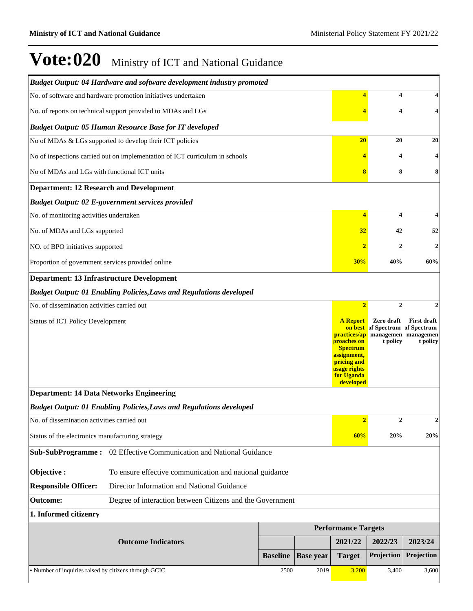|                                                       | Budget Output: 04 Hardware and software development industry promoted        |                 |                  |                                                                                                                                            |                                                           |                                                       |
|-------------------------------------------------------|------------------------------------------------------------------------------|-----------------|------------------|--------------------------------------------------------------------------------------------------------------------------------------------|-----------------------------------------------------------|-------------------------------------------------------|
|                                                       | No. of software and hardware promotion initiatives undertaken                |                 |                  |                                                                                                                                            | 4                                                         | 4                                                     |
|                                                       | No. of reports on technical support provided to MDAs and LGs                 |                 |                  |                                                                                                                                            | 4                                                         | 4                                                     |
|                                                       | <b>Budget Output: 05 Human Resource Base for IT developed</b>                |                 |                  |                                                                                                                                            |                                                           |                                                       |
|                                                       | No of MDAs & LGs supported to develop their ICT policies                     |                 |                  | 20                                                                                                                                         | 20                                                        | 20                                                    |
|                                                       | No of inspections carried out on implementation of ICT curriculum in schools |                 |                  |                                                                                                                                            | 4                                                         |                                                       |
| No of MDAs and LGs with functional ICT units          |                                                                              |                 |                  | 8                                                                                                                                          | 8                                                         | 8                                                     |
| <b>Department: 12 Research and Development</b>        |                                                                              |                 |                  |                                                                                                                                            |                                                           |                                                       |
|                                                       | <b>Budget Output: 02 E-government services provided</b>                      |                 |                  |                                                                                                                                            |                                                           |                                                       |
| No. of monitoring activities undertaken               |                                                                              |                 |                  | $\overline{4}$                                                                                                                             | 4                                                         | 4                                                     |
| No. of MDAs and LGs supported                         |                                                                              |                 |                  | 32                                                                                                                                         | 42                                                        | 52                                                    |
| NO. of BPO initiatives supported                      |                                                                              |                 |                  |                                                                                                                                            | $\mathbf{2}$                                              | $\overline{\mathbf{2}}$                               |
| Proportion of government services provided online     |                                                                              |                 |                  | 30%                                                                                                                                        | 40%                                                       | 60%                                                   |
| <b>Department: 13 Infrastructure Development</b>      |                                                                              |                 |                  |                                                                                                                                            |                                                           |                                                       |
|                                                       | <b>Budget Output: 01 Enabling Policies, Laws and Regulations developed</b>   |                 |                  |                                                                                                                                            |                                                           |                                                       |
| No. of dissemination activities carried out           |                                                                              |                 |                  | $\overline{2}$                                                                                                                             | $\boldsymbol{2}$                                          |                                                       |
| <b>Status of ICT Policy Development</b>               |                                                                              |                 |                  | <b>A</b> Report<br>practices/ap<br>proaches on<br><b>Spectrum</b><br>assignment,<br>pricing and<br>usage rights<br>for Uganda<br>developed | Zero draft<br>on best of Spectrum of Spectrum<br>t policy | <b>First draft</b><br>managemen managemen<br>t policy |
| <b>Department: 14 Data Networks Engineering</b>       |                                                                              |                 |                  |                                                                                                                                            |                                                           |                                                       |
|                                                       | <b>Budget Output: 01 Enabling Policies, Laws and Regulations developed</b>   |                 |                  |                                                                                                                                            |                                                           |                                                       |
| No. of dissemination activities carried out           |                                                                              |                 |                  | 2 <sup>1</sup>                                                                                                                             | $\mathbf{2}$                                              | C                                                     |
| Status of the electronics manufacturing strategy      |                                                                              |                 |                  | 60%                                                                                                                                        | 20%                                                       | 20%                                                   |
|                                                       | Sub-SubProgramme: 02 Effective Communication and National Guidance           |                 |                  |                                                                                                                                            |                                                           |                                                       |
| Objective:                                            | To ensure effective communication and national guidance                      |                 |                  |                                                                                                                                            |                                                           |                                                       |
| <b>Responsible Officer:</b>                           | Director Information and National Guidance                                   |                 |                  |                                                                                                                                            |                                                           |                                                       |
| <b>Outcome:</b>                                       | Degree of interaction between Citizens and the Government                    |                 |                  |                                                                                                                                            |                                                           |                                                       |
| 1. Informed citizenry                                 |                                                                              |                 |                  |                                                                                                                                            |                                                           |                                                       |
|                                                       |                                                                              |                 |                  | <b>Performance Targets</b>                                                                                                                 |                                                           |                                                       |
|                                                       | <b>Outcome Indicators</b>                                                    |                 |                  | 2021/22                                                                                                                                    | 2022/23                                                   | 2023/24                                               |
|                                                       |                                                                              | <b>Baseline</b> | <b>Base year</b> | <b>Target</b>                                                                                                                              | Projection                                                | Projection                                            |
| · Number of inquiries raised by citizens through GCIC |                                                                              | 2500            | 2019             | 3,200                                                                                                                                      | 3,400                                                     | 3,600                                                 |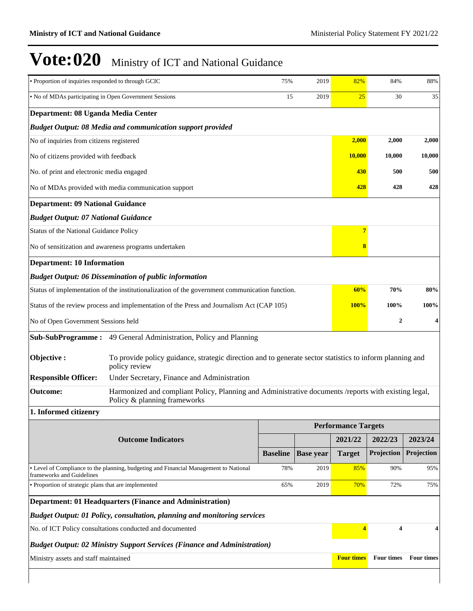|                                                                                       |                 |                                                                                                                                                                                                                                                  | 25                                                                                             |            |                                                                                                                                                                                                                                                                                                                                                                 |  |  |
|---------------------------------------------------------------------------------------|-----------------|--------------------------------------------------------------------------------------------------------------------------------------------------------------------------------------------------------------------------------------------------|------------------------------------------------------------------------------------------------|------------|-----------------------------------------------------------------------------------------------------------------------------------------------------------------------------------------------------------------------------------------------------------------------------------------------------------------------------------------------------------------|--|--|
|                                                                                       |                 | • No of MDAs participating in Open Government Sessions<br>15<br>2019                                                                                                                                                                             |                                                                                                |            |                                                                                                                                                                                                                                                                                                                                                                 |  |  |
| Department: 08 Uganda Media Center                                                    |                 |                                                                                                                                                                                                                                                  |                                                                                                |            |                                                                                                                                                                                                                                                                                                                                                                 |  |  |
| <b>Budget Output: 08 Media and communication support provided</b>                     |                 |                                                                                                                                                                                                                                                  |                                                                                                |            |                                                                                                                                                                                                                                                                                                                                                                 |  |  |
| No of inquiries from citizens registered                                              |                 |                                                                                                                                                                                                                                                  |                                                                                                | 2,000      | 2,000                                                                                                                                                                                                                                                                                                                                                           |  |  |
| No of citizens provided with feedback                                                 |                 |                                                                                                                                                                                                                                                  |                                                                                                | 10.000     | 10,000                                                                                                                                                                                                                                                                                                                                                          |  |  |
| No. of print and electronic media engaged                                             |                 |                                                                                                                                                                                                                                                  | 430                                                                                            | 500        | 500                                                                                                                                                                                                                                                                                                                                                             |  |  |
| No of MDAs provided with media communication support                                  |                 |                                                                                                                                                                                                                                                  | 428                                                                                            | 428        | 428                                                                                                                                                                                                                                                                                                                                                             |  |  |
| <b>Department: 09 National Guidance</b>                                               |                 |                                                                                                                                                                                                                                                  |                                                                                                |            |                                                                                                                                                                                                                                                                                                                                                                 |  |  |
| <b>Budget Output: 07 National Guidance</b>                                            |                 |                                                                                                                                                                                                                                                  |                                                                                                |            |                                                                                                                                                                                                                                                                                                                                                                 |  |  |
| Status of the National Guidance Policy                                                |                 |                                                                                                                                                                                                                                                  |                                                                                                |            |                                                                                                                                                                                                                                                                                                                                                                 |  |  |
| No of sensitization and awareness programs undertaken                                 |                 |                                                                                                                                                                                                                                                  | 8                                                                                              |            |                                                                                                                                                                                                                                                                                                                                                                 |  |  |
| <b>Department: 10 Information</b>                                                     |                 |                                                                                                                                                                                                                                                  |                                                                                                |            |                                                                                                                                                                                                                                                                                                                                                                 |  |  |
| <b>Budget Output: 06 Dissemination of public information</b>                          |                 |                                                                                                                                                                                                                                                  |                                                                                                |            |                                                                                                                                                                                                                                                                                                                                                                 |  |  |
|                                                                                       |                 |                                                                                                                                                                                                                                                  | 60%                                                                                            | 70%        | 80%                                                                                                                                                                                                                                                                                                                                                             |  |  |
|                                                                                       |                 |                                                                                                                                                                                                                                                  | <b>100%</b>                                                                                    | 100%       | 100%                                                                                                                                                                                                                                                                                                                                                            |  |  |
| No of Open Government Sessions held                                                   |                 |                                                                                                                                                                                                                                                  |                                                                                                |            | 4                                                                                                                                                                                                                                                                                                                                                               |  |  |
|                                                                                       |                 |                                                                                                                                                                                                                                                  |                                                                                                |            |                                                                                                                                                                                                                                                                                                                                                                 |  |  |
| policy review                                                                         |                 |                                                                                                                                                                                                                                                  |                                                                                                |            |                                                                                                                                                                                                                                                                                                                                                                 |  |  |
| Under Secretary, Finance and Administration                                           |                 |                                                                                                                                                                                                                                                  |                                                                                                |            |                                                                                                                                                                                                                                                                                                                                                                 |  |  |
| Policy & planning frameworks                                                          |                 |                                                                                                                                                                                                                                                  |                                                                                                |            |                                                                                                                                                                                                                                                                                                                                                                 |  |  |
|                                                                                       |                 |                                                                                                                                                                                                                                                  |                                                                                                |            |                                                                                                                                                                                                                                                                                                                                                                 |  |  |
|                                                                                       |                 |                                                                                                                                                                                                                                                  |                                                                                                |            |                                                                                                                                                                                                                                                                                                                                                                 |  |  |
| <b>Outcome Indicators</b>                                                             |                 |                                                                                                                                                                                                                                                  | 2021/22                                                                                        | 2022/23    | 2023/24                                                                                                                                                                                                                                                                                                                                                         |  |  |
|                                                                                       | <b>Baseline</b> | <b>Base year</b>                                                                                                                                                                                                                                 | <b>Target</b>                                                                                  | Projection | Projection                                                                                                                                                                                                                                                                                                                                                      |  |  |
| • Level of Compliance to the planning, budgeting and Financial Management to National | 78%             | 2019                                                                                                                                                                                                                                             | 85%                                                                                            | 90%        | 95%                                                                                                                                                                                                                                                                                                                                                             |  |  |
| • Proportion of strategic plans that are implemented                                  | 65%             | 2019                                                                                                                                                                                                                                             | 70%                                                                                            | 72%        | 75%                                                                                                                                                                                                                                                                                                                                                             |  |  |
| <b>Department: 01 Headquarters (Finance and Administration)</b>                       |                 |                                                                                                                                                                                                                                                  |                                                                                                |            |                                                                                                                                                                                                                                                                                                                                                                 |  |  |
|                                                                                       |                 |                                                                                                                                                                                                                                                  |                                                                                                |            |                                                                                                                                                                                                                                                                                                                                                                 |  |  |
| No. of ICT Policy consultations conducted and documented                              |                 |                                                                                                                                                                                                                                                  |                                                                                                |            | 4                                                                                                                                                                                                                                                                                                                                                               |  |  |
| <b>Budget Output: 02 Ministry Support Services (Finance and Administration)</b>       |                 |                                                                                                                                                                                                                                                  |                                                                                                |            |                                                                                                                                                                                                                                                                                                                                                                 |  |  |
| Ministry assets and staff maintained                                                  |                 |                                                                                                                                                                                                                                                  |                                                                                                |            | <b>Four times</b>                                                                                                                                                                                                                                                                                                                                               |  |  |
|                                                                                       |                 | Status of the review process and implementation of the Press and Journalism Act (CAP 105)<br>Sub-SubProgramme: 49 General Administration, Policy and Planning<br><b>Budget Output: 01 Policy, consultation, planning and monitoring services</b> | Status of implementation of the institutionalization of the government communication function. |            | 2,000<br>10,000<br>$\overline{7}$<br>2<br>To provide policy guidance, strategic direction and to generate sector statistics to inform planning and<br>Harmonized and compliant Policy, Planning and Administrative documents /reports with existing legal,<br><b>Performance Targets</b><br>4<br>$\blacktriangleleft$<br><b>Four times</b><br><b>Four times</b> |  |  |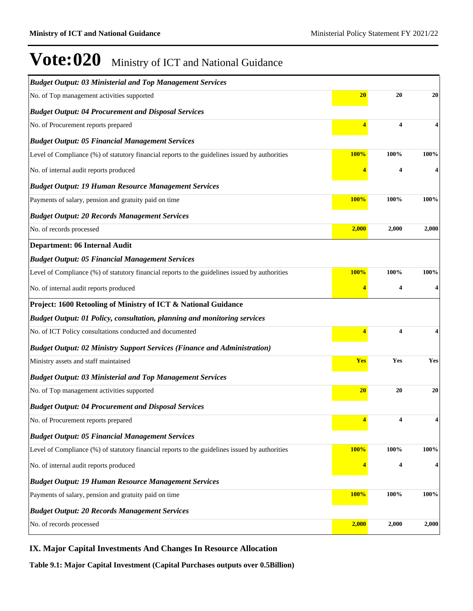| 20<br>20<br>No. of Top management activities supported<br>20<br><b>Budget Output: 04 Procurement and Disposal Services</b><br>$\overline{\mathbf{4}}$<br>No. of Procurement reports prepared<br>4<br><b>Budget Output: 05 Financial Management Services</b><br>100%<br>Level of Compliance (%) of statutory financial reports to the guidelines issued by authorities<br><b>100%</b><br>100%<br>No. of internal audit reports produced<br>4<br><b>Budget Output: 19 Human Resource Management Services</b><br>100%<br><b>100%</b><br>100%<br>Payments of salary, pension and gratuity paid on time<br><b>Budget Output: 20 Records Management Services</b><br>2,000<br>2,000<br>2,000<br>No. of records processed<br><b>Department: 06 Internal Audit</b><br><b>Budget Output: 05 Financial Management Services</b><br>100%<br>Level of Compliance (%) of statutory financial reports to the guidelines issued by authorities<br>100%<br>100%<br>No. of internal audit reports produced<br>4<br>Project: 1600 Retooling of Ministry of ICT & National Guidance<br><b>Budget Output: 01 Policy, consultation, planning and monitoring services</b><br>4<br>No. of ICT Policy consultations conducted and documented<br>4<br><b>Budget Output: 02 Ministry Support Services (Finance and Administration)</b><br>Ministry assets and staff maintained<br><b>Yes</b><br>Yes<br>Yes<br><b>Budget Output: 03 Ministerial and Top Management Services</b><br>20<br>20<br>No. of Top management activities supported<br>20<br><b>Budget Output: 04 Procurement and Disposal Services</b><br>4<br>4<br>4<br>No. of Procurement reports prepared<br><b>Budget Output: 05 Financial Management Services</b><br>100%<br>100%<br>Level of Compliance (%) of statutory financial reports to the guidelines issued by authorities<br><b>100%</b><br>No. of internal audit reports produced<br>4<br>4<br><b>Budget Output: 19 Human Resource Management Services</b><br>100%<br>100%<br>Payments of salary, pension and gratuity paid on time<br>100%<br><b>Budget Output: 20 Records Management Services</b><br>2,000<br>2,000<br>No. of records processed<br>2,000 | <b>Budget Output: 03 Ministerial and Top Management Services</b> |  |  |
|------------------------------------------------------------------------------------------------------------------------------------------------------------------------------------------------------------------------------------------------------------------------------------------------------------------------------------------------------------------------------------------------------------------------------------------------------------------------------------------------------------------------------------------------------------------------------------------------------------------------------------------------------------------------------------------------------------------------------------------------------------------------------------------------------------------------------------------------------------------------------------------------------------------------------------------------------------------------------------------------------------------------------------------------------------------------------------------------------------------------------------------------------------------------------------------------------------------------------------------------------------------------------------------------------------------------------------------------------------------------------------------------------------------------------------------------------------------------------------------------------------------------------------------------------------------------------------------------------------------------------------------------------------------------------------------------------------------------------------------------------------------------------------------------------------------------------------------------------------------------------------------------------------------------------------------------------------------------------------------------------------------------------------------------------------------------------------------------------------------------------------------------------|------------------------------------------------------------------|--|--|
|                                                                                                                                                                                                                                                                                                                                                                                                                                                                                                                                                                                                                                                                                                                                                                                                                                                                                                                                                                                                                                                                                                                                                                                                                                                                                                                                                                                                                                                                                                                                                                                                                                                                                                                                                                                                                                                                                                                                                                                                                                                                                                                                                      |                                                                  |  |  |
|                                                                                                                                                                                                                                                                                                                                                                                                                                                                                                                                                                                                                                                                                                                                                                                                                                                                                                                                                                                                                                                                                                                                                                                                                                                                                                                                                                                                                                                                                                                                                                                                                                                                                                                                                                                                                                                                                                                                                                                                                                                                                                                                                      |                                                                  |  |  |
|                                                                                                                                                                                                                                                                                                                                                                                                                                                                                                                                                                                                                                                                                                                                                                                                                                                                                                                                                                                                                                                                                                                                                                                                                                                                                                                                                                                                                                                                                                                                                                                                                                                                                                                                                                                                                                                                                                                                                                                                                                                                                                                                                      |                                                                  |  |  |
|                                                                                                                                                                                                                                                                                                                                                                                                                                                                                                                                                                                                                                                                                                                                                                                                                                                                                                                                                                                                                                                                                                                                                                                                                                                                                                                                                                                                                                                                                                                                                                                                                                                                                                                                                                                                                                                                                                                                                                                                                                                                                                                                                      |                                                                  |  |  |
|                                                                                                                                                                                                                                                                                                                                                                                                                                                                                                                                                                                                                                                                                                                                                                                                                                                                                                                                                                                                                                                                                                                                                                                                                                                                                                                                                                                                                                                                                                                                                                                                                                                                                                                                                                                                                                                                                                                                                                                                                                                                                                                                                      |                                                                  |  |  |
|                                                                                                                                                                                                                                                                                                                                                                                                                                                                                                                                                                                                                                                                                                                                                                                                                                                                                                                                                                                                                                                                                                                                                                                                                                                                                                                                                                                                                                                                                                                                                                                                                                                                                                                                                                                                                                                                                                                                                                                                                                                                                                                                                      |                                                                  |  |  |
|                                                                                                                                                                                                                                                                                                                                                                                                                                                                                                                                                                                                                                                                                                                                                                                                                                                                                                                                                                                                                                                                                                                                                                                                                                                                                                                                                                                                                                                                                                                                                                                                                                                                                                                                                                                                                                                                                                                                                                                                                                                                                                                                                      |                                                                  |  |  |
|                                                                                                                                                                                                                                                                                                                                                                                                                                                                                                                                                                                                                                                                                                                                                                                                                                                                                                                                                                                                                                                                                                                                                                                                                                                                                                                                                                                                                                                                                                                                                                                                                                                                                                                                                                                                                                                                                                                                                                                                                                                                                                                                                      |                                                                  |  |  |
|                                                                                                                                                                                                                                                                                                                                                                                                                                                                                                                                                                                                                                                                                                                                                                                                                                                                                                                                                                                                                                                                                                                                                                                                                                                                                                                                                                                                                                                                                                                                                                                                                                                                                                                                                                                                                                                                                                                                                                                                                                                                                                                                                      |                                                                  |  |  |
|                                                                                                                                                                                                                                                                                                                                                                                                                                                                                                                                                                                                                                                                                                                                                                                                                                                                                                                                                                                                                                                                                                                                                                                                                                                                                                                                                                                                                                                                                                                                                                                                                                                                                                                                                                                                                                                                                                                                                                                                                                                                                                                                                      |                                                                  |  |  |
|                                                                                                                                                                                                                                                                                                                                                                                                                                                                                                                                                                                                                                                                                                                                                                                                                                                                                                                                                                                                                                                                                                                                                                                                                                                                                                                                                                                                                                                                                                                                                                                                                                                                                                                                                                                                                                                                                                                                                                                                                                                                                                                                                      |                                                                  |  |  |
|                                                                                                                                                                                                                                                                                                                                                                                                                                                                                                                                                                                                                                                                                                                                                                                                                                                                                                                                                                                                                                                                                                                                                                                                                                                                                                                                                                                                                                                                                                                                                                                                                                                                                                                                                                                                                                                                                                                                                                                                                                                                                                                                                      |                                                                  |  |  |
|                                                                                                                                                                                                                                                                                                                                                                                                                                                                                                                                                                                                                                                                                                                                                                                                                                                                                                                                                                                                                                                                                                                                                                                                                                                                                                                                                                                                                                                                                                                                                                                                                                                                                                                                                                                                                                                                                                                                                                                                                                                                                                                                                      |                                                                  |  |  |
|                                                                                                                                                                                                                                                                                                                                                                                                                                                                                                                                                                                                                                                                                                                                                                                                                                                                                                                                                                                                                                                                                                                                                                                                                                                                                                                                                                                                                                                                                                                                                                                                                                                                                                                                                                                                                                                                                                                                                                                                                                                                                                                                                      |                                                                  |  |  |
|                                                                                                                                                                                                                                                                                                                                                                                                                                                                                                                                                                                                                                                                                                                                                                                                                                                                                                                                                                                                                                                                                                                                                                                                                                                                                                                                                                                                                                                                                                                                                                                                                                                                                                                                                                                                                                                                                                                                                                                                                                                                                                                                                      |                                                                  |  |  |
|                                                                                                                                                                                                                                                                                                                                                                                                                                                                                                                                                                                                                                                                                                                                                                                                                                                                                                                                                                                                                                                                                                                                                                                                                                                                                                                                                                                                                                                                                                                                                                                                                                                                                                                                                                                                                                                                                                                                                                                                                                                                                                                                                      |                                                                  |  |  |
|                                                                                                                                                                                                                                                                                                                                                                                                                                                                                                                                                                                                                                                                                                                                                                                                                                                                                                                                                                                                                                                                                                                                                                                                                                                                                                                                                                                                                                                                                                                                                                                                                                                                                                                                                                                                                                                                                                                                                                                                                                                                                                                                                      |                                                                  |  |  |
|                                                                                                                                                                                                                                                                                                                                                                                                                                                                                                                                                                                                                                                                                                                                                                                                                                                                                                                                                                                                                                                                                                                                                                                                                                                                                                                                                                                                                                                                                                                                                                                                                                                                                                                                                                                                                                                                                                                                                                                                                                                                                                                                                      |                                                                  |  |  |
|                                                                                                                                                                                                                                                                                                                                                                                                                                                                                                                                                                                                                                                                                                                                                                                                                                                                                                                                                                                                                                                                                                                                                                                                                                                                                                                                                                                                                                                                                                                                                                                                                                                                                                                                                                                                                                                                                                                                                                                                                                                                                                                                                      |                                                                  |  |  |
|                                                                                                                                                                                                                                                                                                                                                                                                                                                                                                                                                                                                                                                                                                                                                                                                                                                                                                                                                                                                                                                                                                                                                                                                                                                                                                                                                                                                                                                                                                                                                                                                                                                                                                                                                                                                                                                                                                                                                                                                                                                                                                                                                      |                                                                  |  |  |
|                                                                                                                                                                                                                                                                                                                                                                                                                                                                                                                                                                                                                                                                                                                                                                                                                                                                                                                                                                                                                                                                                                                                                                                                                                                                                                                                                                                                                                                                                                                                                                                                                                                                                                                                                                                                                                                                                                                                                                                                                                                                                                                                                      |                                                                  |  |  |
|                                                                                                                                                                                                                                                                                                                                                                                                                                                                                                                                                                                                                                                                                                                                                                                                                                                                                                                                                                                                                                                                                                                                                                                                                                                                                                                                                                                                                                                                                                                                                                                                                                                                                                                                                                                                                                                                                                                                                                                                                                                                                                                                                      |                                                                  |  |  |
|                                                                                                                                                                                                                                                                                                                                                                                                                                                                                                                                                                                                                                                                                                                                                                                                                                                                                                                                                                                                                                                                                                                                                                                                                                                                                                                                                                                                                                                                                                                                                                                                                                                                                                                                                                                                                                                                                                                                                                                                                                                                                                                                                      |                                                                  |  |  |
|                                                                                                                                                                                                                                                                                                                                                                                                                                                                                                                                                                                                                                                                                                                                                                                                                                                                                                                                                                                                                                                                                                                                                                                                                                                                                                                                                                                                                                                                                                                                                                                                                                                                                                                                                                                                                                                                                                                                                                                                                                                                                                                                                      |                                                                  |  |  |
|                                                                                                                                                                                                                                                                                                                                                                                                                                                                                                                                                                                                                                                                                                                                                                                                                                                                                                                                                                                                                                                                                                                                                                                                                                                                                                                                                                                                                                                                                                                                                                                                                                                                                                                                                                                                                                                                                                                                                                                                                                                                                                                                                      |                                                                  |  |  |
|                                                                                                                                                                                                                                                                                                                                                                                                                                                                                                                                                                                                                                                                                                                                                                                                                                                                                                                                                                                                                                                                                                                                                                                                                                                                                                                                                                                                                                                                                                                                                                                                                                                                                                                                                                                                                                                                                                                                                                                                                                                                                                                                                      |                                                                  |  |  |
|                                                                                                                                                                                                                                                                                                                                                                                                                                                                                                                                                                                                                                                                                                                                                                                                                                                                                                                                                                                                                                                                                                                                                                                                                                                                                                                                                                                                                                                                                                                                                                                                                                                                                                                                                                                                                                                                                                                                                                                                                                                                                                                                                      |                                                                  |  |  |
|                                                                                                                                                                                                                                                                                                                                                                                                                                                                                                                                                                                                                                                                                                                                                                                                                                                                                                                                                                                                                                                                                                                                                                                                                                                                                                                                                                                                                                                                                                                                                                                                                                                                                                                                                                                                                                                                                                                                                                                                                                                                                                                                                      |                                                                  |  |  |
|                                                                                                                                                                                                                                                                                                                                                                                                                                                                                                                                                                                                                                                                                                                                                                                                                                                                                                                                                                                                                                                                                                                                                                                                                                                                                                                                                                                                                                                                                                                                                                                                                                                                                                                                                                                                                                                                                                                                                                                                                                                                                                                                                      |                                                                  |  |  |
|                                                                                                                                                                                                                                                                                                                                                                                                                                                                                                                                                                                                                                                                                                                                                                                                                                                                                                                                                                                                                                                                                                                                                                                                                                                                                                                                                                                                                                                                                                                                                                                                                                                                                                                                                                                                                                                                                                                                                                                                                                                                                                                                                      |                                                                  |  |  |

### **IX. Major Capital Investments And Changes In Resource Allocation**

**Table 9.1: Major Capital Investment (Capital Purchases outputs over 0.5Billion)**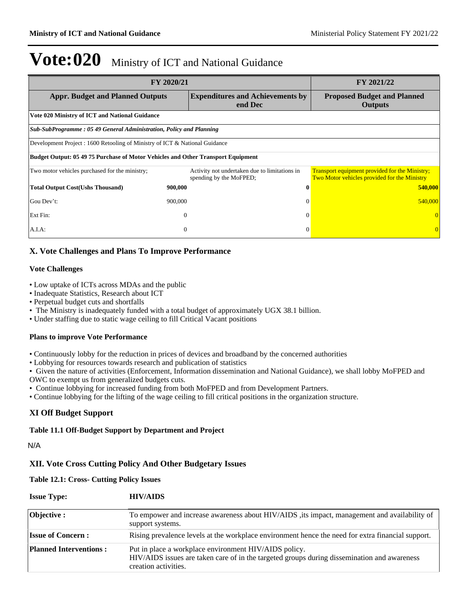|                                                                                         | FY 2020/21                                                               |                                                                                                       |  |  |  |  |  |
|-----------------------------------------------------------------------------------------|--------------------------------------------------------------------------|-------------------------------------------------------------------------------------------------------|--|--|--|--|--|
| <b>Appr. Budget and Planned Outputs</b>                                                 | <b>Expenditures and Achievements by</b><br>end Dec                       | <b>Proposed Budget and Planned</b><br><b>Outputs</b>                                                  |  |  |  |  |  |
| Vote 020 Ministry of ICT and National Guidance                                          |                                                                          |                                                                                                       |  |  |  |  |  |
| Sub-SubProgramme: 05 49 General Administration, Policy and Planning                     |                                                                          |                                                                                                       |  |  |  |  |  |
| Development Project : 1600 Retooling of Ministry of ICT & National Guidance             |                                                                          |                                                                                                       |  |  |  |  |  |
| <b>Budget Output: 05 49 75 Purchase of Motor Vehicles and Other Transport Equipment</b> |                                                                          |                                                                                                       |  |  |  |  |  |
| Two motor vehicles purchased for the ministry;                                          | Activity not undertaken due to limitations in<br>spending by the MoFPED; | <b>Transport equipment provided for the Ministry;</b><br>Two Motor vehicles provided for the Ministry |  |  |  |  |  |
| <b>Total Output Cost(Ushs Thousand)</b>                                                 | 900,000                                                                  | 540,000                                                                                               |  |  |  |  |  |
| Gou Dev't:                                                                              | 900,000<br>$\Omega$                                                      | 540,000                                                                                               |  |  |  |  |  |
| Ext Fin:                                                                                | $\overline{0}$<br>$\Omega$                                               |                                                                                                       |  |  |  |  |  |
| A.I.A.                                                                                  | $\overline{0}$<br>$\theta$                                               |                                                                                                       |  |  |  |  |  |

### **X. Vote Challenges and Plans To Improve Performance**

#### **Vote Challenges**

- Low uptake of ICTs across MDAs and the public
- Inadequate Statistics, Research about ICT
- Perpetual budget cuts and shortfalls
- The Ministry is inadequately funded with a total budget of approximately UGX 38.1 billion.
- Under staffing due to static wage ceiling to fill Critical Vacant positions

### **Plans to improve Vote Performance**

- Continuously lobby for the reduction in prices of devices and broadband by the concerned authorities
- Lobbying for resources towards research and publication of statistics

Given the nature of activities (Enforcement, Information dissemination and National Guidance), we shall lobby MoFPED and

OWC to exempt us from generalized budgets cuts.

Continue lobbying for increased funding from both MoFPED and from Development Partners.

Continue lobbying for the lifting of the wage ceiling to fill critical positions in the organization structure.

### **XI Off Budget Support**

### **Table 11.1 Off-Budget Support by Department and Project**

N/A

### **XII. Vote Cross Cutting Policy And Other Budgetary Issues**

**Table 12.1: Cross- Cutting Policy Issues**

| <b>Issue Type:</b>            | <b>HIV/AIDS</b>                                                                                                                                                              |
|-------------------------------|------------------------------------------------------------------------------------------------------------------------------------------------------------------------------|
| Objective :                   | To empower and increase awareness about HIV/AIDS, its impact, management and availability of<br>support systems.                                                             |
| <b>Issue of Concern:</b>      | Rising prevalence levels at the workplace environment hence the need for extra financial support.                                                                            |
| <b>Planned Interventions:</b> | Put in place a workplace environment HIV/AIDS policy.<br>HIV/AIDS issues are taken care of in the targeted groups during dissemination and awareness<br>creation activities. |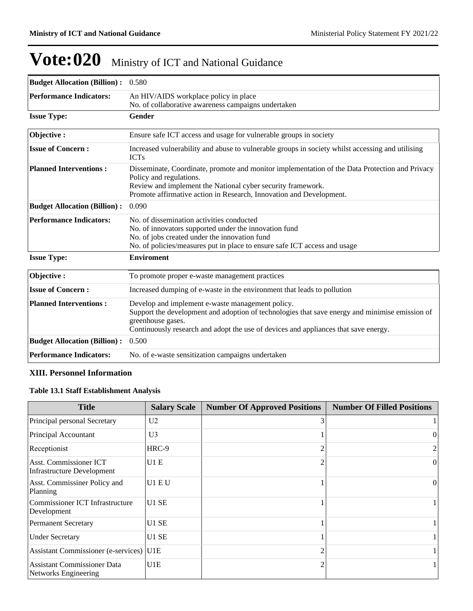| <b>Budget Allocation (Billion):</b> 0.580 |                                                                                                                                                                                                                                                                 |
|-------------------------------------------|-----------------------------------------------------------------------------------------------------------------------------------------------------------------------------------------------------------------------------------------------------------------|
| <b>Performance Indicators:</b>            | An HIV/AIDS workplace policy in place<br>No. of collaborative awareness campaigns undertaken                                                                                                                                                                    |
| <b>Issue Type:</b>                        | Gender                                                                                                                                                                                                                                                          |
| Objective:                                | Ensure safe ICT access and usage for vulnerable groups in society                                                                                                                                                                                               |
| <b>Issue of Concern:</b>                  | Increased vulnerability and abuse to vulnerable groups in society whilst accessing and utilising<br><b>ICTs</b>                                                                                                                                                 |
| <b>Planned Interventions:</b>             | Disseminate, Coordinate, promote and monitor implementation of the Data Protection and Privacy<br>Policy and regulations.<br>Review and implement the National cyber security framework.<br>Promote affirmative action in Research, Innovation and Development. |
| <b>Budget Allocation (Billion):</b>       | 0.090                                                                                                                                                                                                                                                           |
| <b>Performance Indicators:</b>            | No. of dissemination activities conducted<br>No. of innovators supported under the innovation fund<br>No. of jobs created under the innovation fund<br>No. of policies/measures put in place to ensure safe ICT access and usage                                |
| <b>Issue Type:</b>                        | <b>Enviroment</b>                                                                                                                                                                                                                                               |
| Objective:                                | To promote proper e-waste management practices                                                                                                                                                                                                                  |
| <b>Issue of Concern:</b>                  | Increased dumping of e-waste in the environment that leads to pollution                                                                                                                                                                                         |
| <b>Planned Interventions:</b>             | Develop and implement e-waste management policy.<br>Support the development and adoption of technologies that save energy and minimise emission of<br>greenhouse gases.<br>Continuously research and adopt the use of devices and appliances that save energy.  |
| <b>Budget Allocation (Billion):</b>       | 0.500                                                                                                                                                                                                                                                           |
| <b>Performance Indicators:</b>            | No. of e-waste sensitization campaigns undertaken                                                                                                                                                                                                               |

### **XIII. Personnel Information**

### **Table 13.1 Staff Establishment Analysis**

| <b>Title</b>                                                | <b>Salary Scale</b> | <b>Number Of Approved Positions</b> | <b>Number Of Filled Positions</b> |
|-------------------------------------------------------------|---------------------|-------------------------------------|-----------------------------------|
| Principal personal Secretary                                | U <sub>2</sub>      |                                     |                                   |
| Principal Accountant                                        | U3                  |                                     | $\Omega$                          |
| Receptionist                                                | $HRC-9$             | っ                                   | 2                                 |
| Asst. Commissioner ICT<br><b>Infrastructure Development</b> | U1E                 |                                     | $\Omega$                          |
| Asst. Commissiner Policy and<br>Planning                    | U1 E U              |                                     | $\Omega$                          |
| Commissioner ICT Infrastructure<br>Development              | U1 SE               |                                     |                                   |
| <b>Permanent Secretary</b>                                  | U1 SE               |                                     |                                   |
| <b>Under Secretary</b>                                      | U1 SE               |                                     |                                   |
| Assistant Commissioner (e-services) U1E                     |                     |                                     |                                   |
| <b>Assistant Commissioner Data</b><br>Networks Engineering  | U1E                 |                                     |                                   |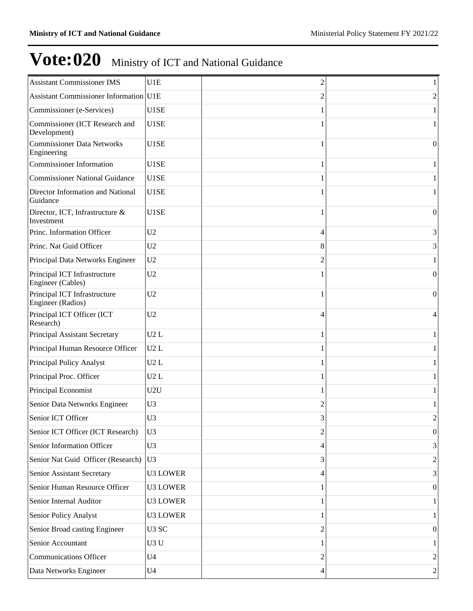| <b>Assistant Commissioner IMS</b>                 | U1E               | 2      | 1                |
|---------------------------------------------------|-------------------|--------|------------------|
| <b>Assistant Commissioner Information U1E</b>     |                   | 2      | 2                |
| Commissioner (e-Services)                         | U1SE              |        |                  |
| Commissioner (ICT Research and<br>Development)    | U1SE              |        |                  |
| <b>Commissioner Data Networks</b><br>Engineering  | U1SE              |        | $\mathbf{0}$     |
| <b>Commissioner Information</b>                   | U1SE              |        | 1                |
| <b>Commissioner National Guidance</b>             | U1SE              |        |                  |
| Director Information and National<br>Guidance     | U1SE              |        |                  |
| Director, ICT, Infrastructure &<br>Investment     | U1SE              |        | $\theta$         |
| Princ. Information Officer                        | U2                | 4      | 3                |
| Princ. Nat Guid Officer                           | U2                | 8      | 3                |
| Principal Data Networks Engineer                  | U2                |        |                  |
| Principal ICT Infrastructure<br>Engineer (Cables) | U2                |        | $\mathbf{0}$     |
| Principal ICT Infrastructure<br>Engineer (Radios) | U2                |        | $\vert 0 \vert$  |
| Principal ICT Officer (ICT<br>Research)           | U <sub>2</sub>    | 4      | 4                |
| Principal Assistant Secretary                     | U2L               |        |                  |
| Principal Human Resource Officer                  | U2L               |        |                  |
| Principal Policy Analyst                          | U2L               |        |                  |
| Principal Proc. Officer                           | U2L               |        | 1                |
| Principal Economist                               | U2U               |        |                  |
| Senior Data Networks Engineer                     | U <sub>3</sub>    | 2      |                  |
| Senior ICT Officer                                | U3                | 2<br>J | $\overline{c}$   |
| Senior ICT Officer (ICT Research)                 | U <sub>3</sub>    | 2      | $\boldsymbol{0}$ |
| Senior Information Officer                        | U <sub>3</sub>    | 4      | 3                |
| Senior Nat Guid Officer (Research)                | U <sub>3</sub>    | 3      | 2                |
| Senior Assistant Secretary                        | <b>U3 LOWER</b>   | 4      | 3                |
| Senior Human Resource Officer                     | <b>U3 LOWER</b>   |        | $\boldsymbol{0}$ |
| Senior Internal Auditor                           | <b>U3 LOWER</b>   |        |                  |
| Senior Policy Analyst                             | <b>U3 LOWER</b>   |        |                  |
| Senior Broad casting Engineer                     | U <sub>3</sub> SC | 2      | $\overline{0}$   |
| Senior Accountant                                 | U3 U              |        |                  |
| Communications Officer                            | U <sub>4</sub>    | 2      | 2                |
| Data Networks Engineer                            | U <sub>4</sub>    | 4      | 2                |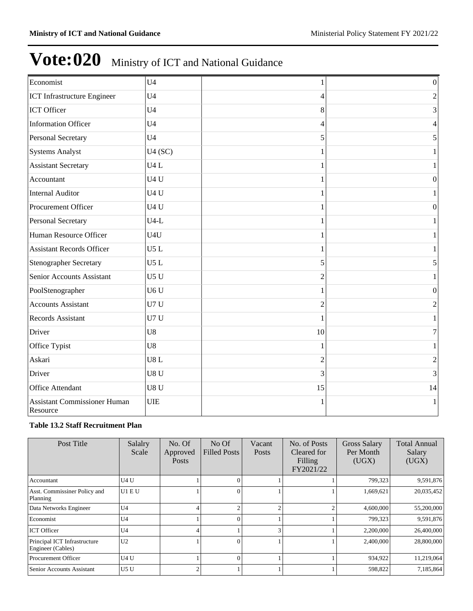| Economist                                       | U <sub>4</sub>   |                | $\vert 0 \vert$  |
|-------------------------------------------------|------------------|----------------|------------------|
| ICT Infrastructure Engineer                     | U <sub>4</sub>   | 4              | $\overline{c}$   |
| ICT Officer                                     | U <sub>4</sub>   | 8              | 3                |
| <b>Information Officer</b>                      | U <sub>4</sub>   | 4              | $\overline{4}$   |
| <b>Personal Secretary</b>                       | U <sub>4</sub>   | 5              | 5                |
| <b>Systems Analyst</b>                          | U4(SC)           |                | 1                |
| <b>Assistant Secretary</b>                      | U4L              |                | 1                |
| Accountant                                      | U4U              | 1              | $\boldsymbol{0}$ |
| <b>Internal Auditor</b>                         | U4U              |                | $\mathbf{1}$     |
| Procurement Officer                             | U <sub>4</sub> U |                | $\vert 0 \vert$  |
| <b>Personal Secretary</b>                       | $U4-L$           |                | 1                |
| Human Resource Officer                          | U <sub>4U</sub>  |                |                  |
| <b>Assistant Records Officer</b>                | U5L              |                | 1                |
| <b>Stenographer Secretary</b>                   | U5L              | 5              | 5                |
| Senior Accounts Assistant                       | U5U              | $\overline{2}$ |                  |
| PoolStenographer                                | U6 <sub>U</sub>  |                | $\overline{0}$   |
| <b>Accounts Assistant</b>                       | U7U              | $\overline{c}$ | 2                |
| Records Assistant                               | U7U              |                |                  |
| Driver                                          | U8               | 10             | 7                |
| Office Typist                                   | U8               |                | 1                |
| Askari                                          | U8L              | $\overline{2}$ | $\overline{c}$   |
| Driver                                          | U8 <sub>U</sub>  | 3              | 3                |
| Office Attendant                                | U8U              | 15             | 14               |
| <b>Assistant Commissioner Human</b><br>Resource | <b>UIE</b>       |                | 1                |

### **Table 13.2 Staff Recruitment Plan**

| Post Title                                        | Salalry<br>Scale | No. Of<br>Approved<br>Posts | No Of<br><b>Filled Posts</b> | Vacant<br>Posts | No. of Posts<br>Cleared for<br>Filling<br>FY2021/22 | <b>Gross Salary</b><br>Per Month<br>(UGX) | <b>Total Annual</b><br>Salary<br>(UGX) |
|---------------------------------------------------|------------------|-----------------------------|------------------------------|-----------------|-----------------------------------------------------|-------------------------------------------|----------------------------------------|
| Accountant                                        | U4 U             |                             |                              |                 |                                                     | 799,323                                   | 9,591,876                              |
| Asst. Commissiner Policy and<br>Planning          | U1 E U           |                             |                              |                 |                                                     | 1,669,621                                 | 20,035,452                             |
| Data Networks Engineer                            | U <sub>4</sub>   | 4                           |                              |                 |                                                     | 4,600,000                                 | 55,200,000                             |
| Economist                                         | U <sub>4</sub>   |                             |                              |                 |                                                     | 799,323                                   | 9,591,876                              |
| <b>ICT</b> Officer                                | U <sub>4</sub>   | 4                           |                              |                 |                                                     | 2,200,000                                 | 26,400,000                             |
| Principal ICT Infrastructure<br>Engineer (Cables) | U <sub>2</sub>   |                             |                              |                 |                                                     | 2,400,000                                 | 28,800,000                             |
| Procurement Officer                               | U4 U             |                             |                              |                 |                                                     | 934,922                                   | 11,219,064                             |
| Senior Accounts Assistant                         | U <sub>5</sub> U | $\overline{c}$              |                              |                 |                                                     | 598,822                                   | 7,185,864                              |